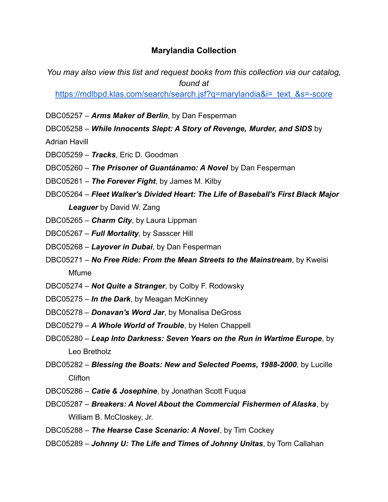## **Marylandia Collection**

*You may also view this list and request books from this collection via our catalog, found at*

[https://mdlbpd.klas.com/search/search.jsf?q=marylandia&i=\\_text\\_&s=-score](https://mdlbpd.klas.com/search/search.jsf?q=marylandia&i=_text_&s=-score)

DBC05257 – *Arms Maker of Berlin*, by Dan Fesperman

DBC05258 – *While Innocents Slept: A Story of Revenge, Murder, and SIDS* by

Adrian Havill

- DBC05259 *Tracks*, Eric D. Goodman
- DBC05260 *The Prisoner of Guantánamo: A Novel* by Dan Fesperman
- DBC05261 *The Forever Fight*, by James M. Kilby
- DBC05264 *Fleet Walker's Divided Heart: The Life of Baseball's First Black Major Leaguer* by David W. Zang
- DBC05265 *Charm City*, by Laura Lippman
- DBC05267 *Full Mortality*, by Sasscer Hill
- DBC05268 *Layover in Dubai*, by Dan Fesperman
- DBC05271 *No Free Ride: From the Mean Streets to the Mainstream*, by Kweisi Mfume
- DBC05274 *Not Quite a Stranger*, by Colby F. Rodowsky
- DBC05275 *In the Dark*, by Meagan McKinney
- DBC05278 *Donavan's Word Jar*, by Monalisa DeGross
- DBC05279 *A Whole World of Trouble*, by Helen Chappell
- DBC05280 *Leap Into Darkness: Seven Years on the Run in Wartime Europe*, by Leo Bretholz
- DBC05282 *Blessing the Boats: New and Selected Poems, 1988-2000*, by Lucille Clifton
- DBC05286 *Catie & Josephine*, by Jonathan Scott Fuqua
- DBC05287 *Breakers: A Novel About the Commercial Fishermen of Alaska*, by William B. McCloskey, Jr.
- DBC05288 *The Hearse Case Scenario: A Novel*, by Tim Cockey
- DBC05289 *Johnny U: The Life and Times of Johnny Unitas*, by Tom Callahan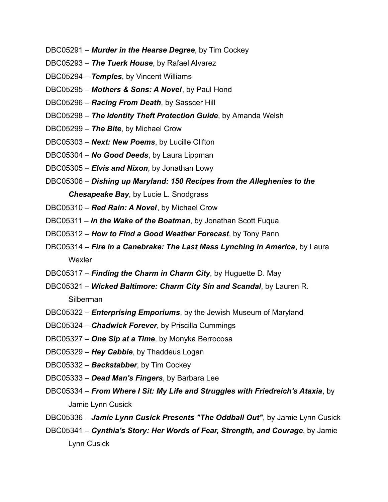- DBC05291 *Murder in the Hearse Degree*, by Tim Cockey
- DBC05293 *The Tuerk House*, by Rafael Alvarez
- DBC05294 *Temples*, by Vincent Williams
- DBC05295 *Mothers & Sons: A Novel*, by Paul Hond
- DBC05296 *Racing From Death*, by Sasscer Hill
- DBC05298 *The Identity Theft Protection Guide*, by Amanda Welsh
- DBC05299 *The Bite*, by Michael Crow
- DBC05303 *Next: New Poems*, by Lucille Clifton
- DBC05304 *No Good Deeds*, by Laura Lippman
- DBC05305 *Elvis and Nixon*, by Jonathan Lowy
- DBC05306 *Dishing up Maryland: 150 Recipes from the Alleghenies to the Chesapeake Bay*, by Lucie L. Snodgrass
- DBC05310 *Red Rain: A Novel*, by Michael Crow
- DBC05311 *In the Wake of the Boatman*, by Jonathan Scott Fuqua
- DBC05312 *How to Find a Good Weather Forecast*, by Tony Pann
- DBC05314 *Fire in a Canebrake: The Last Mass Lynching in America*, by Laura **Wexler**
- DBC05317 *Finding the Charm in Charm City*, by Huguette D. May
- DBC05321 *Wicked Baltimore: Charm City Sin and Scandal*, by Lauren R. Silberman
- DBC05322 *Enterprising Emporiums*, by the Jewish Museum of Maryland
- DBC05324 *Chadwick Forever*, by Priscilla Cummings
- DBC05327 *One Sip at a Time*, by Monyka Berrocosa
- DBC05329 *Hey Cabbie*, by Thaddeus Logan
- DBC05332 *Backstabber*, by Tim Cockey
- DBC05333 *Dead Man's Fingers*, by Barbara Lee
- DBC05334 *From Where I Sit: My Life and Struggles with Friedreich's Ataxia*, by Jamie Lynn Cusick
- DBC05336 *Jamie Lynn Cusick Presents "The Oddball Out"*, by Jamie Lynn Cusick
- DBC05341 *Cynthia's Story: Her Words of Fear, Strength, and Courage*, by Jamie Lynn Cusick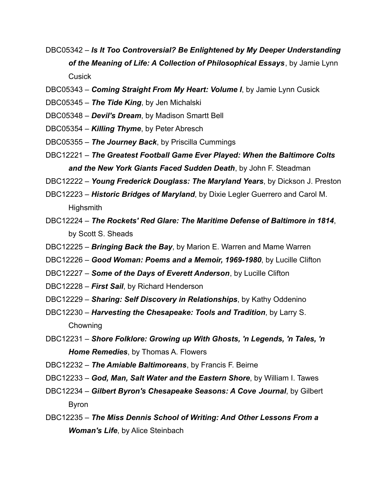- DBC05342 *Is It Too Controversial? Be Enlightened by My Deeper Understanding of the Meaning of Life: A Collection of Philosophical Essays*, by Jamie Lynn Cusick
- DBC05343 *Coming Straight From My Heart: Volume I*, by Jamie Lynn Cusick
- DBC05345 *The Tide King*, by Jen Michalski
- DBC05348 *Devil's Dream*, by Madison Smartt Bell
- DBC05354 *Killing Thyme*, by Peter Abresch
- DBC05355 *The Journey Back*, by Priscilla Cummings
- DBC12221 *The Greatest Football Game Ever Played: When the Baltimore Colts and the New York Giants Faced Sudden Death*, by John F. Steadman

DBC12222 – *Young Frederick Douglass: The Maryland Years*, by Dickson J. Preston

- DBC12223 *Historic Bridges of Maryland*, by Dixie Legler Guerrero and Carol M. **Highsmith**
- DBC12224 *The Rockets' Red Glare: The Maritime Defense of Baltimore in 1814*, by Scott S. Sheads
- DBC12225 *Bringing Back the Bay*, by Marion E. Warren and Mame Warren
- DBC12226 *Good Woman: Poems and a Memoir, 1969-1980*, by Lucille Clifton
- DBC12227 *Some of the Days of Everett Anderson*, by Lucille Clifton
- DBC12228 *First Sail*, by Richard Henderson
- DBC12229 *Sharing: Self Discovery in Relationships*, by Kathy Oddenino
- DBC12230 *Harvesting the Chesapeake: Tools and Tradition*, by Larry S. Chowning
- DBC12231 *Shore Folklore: Growing up With Ghosts, 'n Legends, 'n Tales, 'n Home Remedies*, by Thomas A. Flowers
- DBC12232 *The Amiable Baltimoreans*, by Francis F. Beirne
- DBC12233 *God, Man, Salt Water and the Eastern Shore*, by William I. Tawes
- DBC12234 *Gilbert Byron's Chesapeake Seasons: A Cove Journal*, by Gilbert Byron
- DBC12235 *The Miss Dennis School of Writing: And Other Lessons From a Woman's Life*, by Alice Steinbach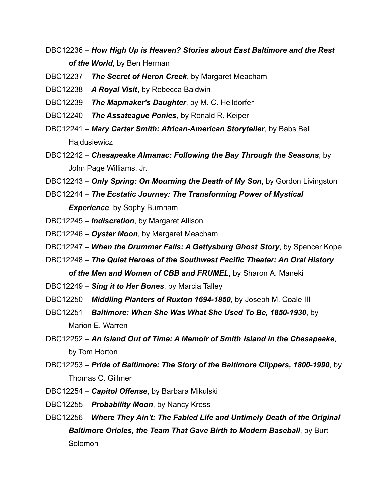DBC12236 – *How High Up is Heaven? Stories about East Baltimore and the Rest of the World*, by Ben Herman

DBC12237 – *The Secret of Heron Creek*, by Margaret Meacham

DBC12238 – *A Royal Visit*, by Rebecca Baldwin

- DBC12239 *The Mapmaker's Daughter*, by M. C. Helldorfer
- DBC12240 *The Assateague Ponies*, by Ronald R. Keiper
- DBC12241 *Mary Carter Smith: African-American Storyteller*, by Babs Bell Hajdusiewicz
- DBC12242 *Chesapeake Almanac: Following the Bay Through the Seasons*, by John Page Williams, Jr.
- DBC12243 *Only Spring: On Mourning the Death of My Son*, by Gordon Livingston
- DBC12244 *The Ecstatic Journey: The Transforming Power of Mystical Experience*, by Sophy Burnham
- DBC12245 *Indiscretion*, by Margaret Allison
- DBC12246 *Oyster Moon*, by Margaret Meacham
- DBC12247 *When the Drummer Falls: A Gettysburg Ghost Story*, by Spencer Kope
- DBC12248 *The Quiet Heroes of the Southwest Pacific Theater: An Oral History of the Men and Women of CBB and FRUMEL*, by Sharon A. Maneki
- DBC12249 *Sing it to Her Bones*, by Marcia Talley
- DBC12250 *Middling Planters of Ruxton 1694-1850*, by Joseph M. Coale III
- DBC12251 *Baltimore: When She Was What She Used To Be, 1850-1930*, by Marion E. Warren
- DBC12252 *An Island Out of Time: A Memoir of Smith Island in the Chesapeake*, by Tom Horton
- DBC12253 *Pride of Baltimore: The Story of the Baltimore Clippers, 1800-1990*, by Thomas C. Gillmer
- DBC12254 *Capitol Offense*, by Barbara Mikulski
- DBC12255 *Probability Moon*, by Nancy Kress
- DBC12256 *Where They Ain't: The Fabled Life and Untimely Death of the Original Baltimore Orioles, the Team That Gave Birth to Modern Baseball*, by Burt Solomon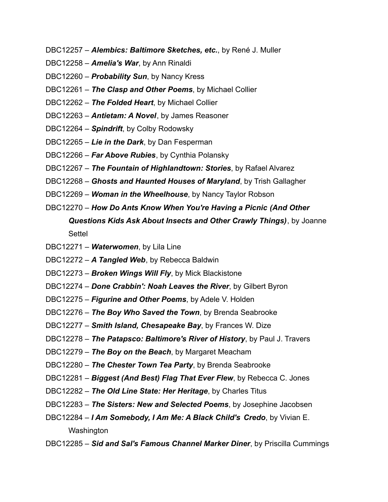- DBC12257 *Alembics: Baltimore Sketches, etc.*, by René J. Muller
- DBC12258 *Amelia's War*, by Ann Rinaldi
- DBC12260 *Probability Sun*, by Nancy Kress
- DBC12261 *The Clasp and Other Poems*, by Michael Collier
- DBC12262 *The Folded Heart*, by Michael Collier
- DBC12263 *Antietam: A Novel*, by James Reasoner
- DBC12264 *Spindrift*, by Colby Rodowsky
- DBC12265 *Lie in the Dark*, by Dan Fesperman
- DBC12266 *Far Above Rubies*, by Cynthia Polansky
- DBC12267 *The Fountain of Highlandtown: Stories*, by Rafael Alvarez
- DBC12268 *Ghosts and Haunted Houses of Maryland*, by Trish Gallagher
- DBC12269 *Woman in the Wheelhouse*, by Nancy Taylor Robson
- DBC12270 *How Do Ants Know When You're Having a Picnic (And Other Questions Kids Ask About Insects and Other Crawly Things)*, by Joanne **Settel**
- DBC12271 *Waterwomen*, by Lila Line
- DBC12272 *A Tangled Web*, by Rebecca Baldwin
- DBC12273 *Broken Wings Will Fly*, by Mick Blackistone
- DBC12274 *Done Crabbin': Noah Leaves the River*, by Gilbert Byron
- DBC12275 *Figurine and Other Poems*, by Adele V. Holden
- DBC12276 *The Boy Who Saved the Town*, by Brenda Seabrooke
- DBC12277 *Smith Island, Chesapeake Bay*, by Frances W. Dize
- DBC12278 *The Patapsco: Baltimore's River of History*, by Paul J. Travers
- DBC12279 *The Boy on the Beach*, by Margaret Meacham
- DBC12280 *The Chester Town Tea Party*, by Brenda Seabrooke
- DBC12281 *Biggest (And Best) Flag That Ever Flew*, by Rebecca C. Jones
- DBC12282 *The Old Line State: Her Heritage*, by Charles Titus
- DBC12283 *The Sisters: New and Selected Poems*, by Josephine Jacobsen
- DBC12284 *I Am Somebody, I Am Me: A Black Child's Credo*, by Vivian E. **Washington**
- DBC12285 *Sid and Sal's Famous Channel Marker Diner*, by Priscilla Cummings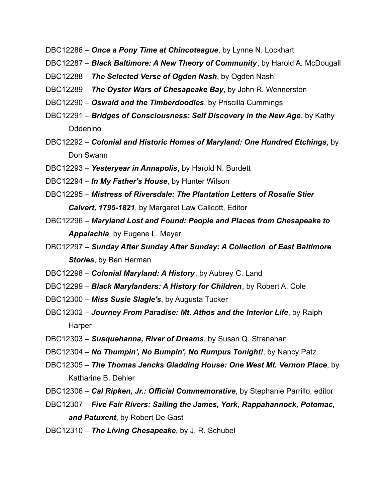- DBC12286 *Once a Pony Time at Chincoteague*, by Lynne N. Lockhart
- DBC12287 *Black Baltimore: A New Theory of Community*, by Harold A. McDougall
- DBC12288 *The Selected Verse of Ogden Nash*, by Ogden Nash
- DBC12289 *The Oyster Wars of Chesapeake Bay*, by John R. Wennersten
- DBC12290 *Oswald and the Timberdoodles*, by Priscilla Cummings
- DBC12291 *Bridges of Consciousness: Self Discovery in the New Age*, by Kathy Oddenino
- DBC12292 *Colonial and Historic Homes of Maryland: One Hundred Etchings*, by Don Swann
- DBC12293 *Yesteryear in Annapolis*, by Harold N. Burdett
- DBC12294 *In My Father's House*, by Hunter Wilson
- DBC12295 *Mistress of Riversdale: The Plantation Letters of Rosalie Stier Calvert, 1795-1821*, by Margaret Law Callcott, Editor
- DBC12296 *Maryland Lost and Found: People and Places from Chesapeake to Appalachia*, by Eugene L. Meyer
- DBC12297 *Sunday After Sunday After Sunday: A Collection of East Baltimore Stories*, by Ben Herman
- DBC12298 *Colonial Maryland: A History*, by Aubrey C. Land
- DBC12299 *Black Marylanders: A History for Children*, by Robert A. Cole
- DBC12300 *Miss Susie Slagle's*, by Augusta Tucker
- DBC12302 *Journey From Paradise: Mt. Athos and the Interior Life*, by Ralph **Harper**
- DBC12303 *Susquehanna, River of Dreams*, by Susan Q. Stranahan
- DBC12304 *No Thumpin', No Bumpin', No Rumpus Tonight!*, by Nancy Patz
- DBC12305 *The Thomas Jencks Gladding House: One West Mt. Vernon Place*, by Katharine B. Dehler
- DBC12306 *Cal Ripken, Jr.: Official Commemorative*, by Stephanie Parrillo, editor
- DBC12307 *Five Fair Rivers: Sailing the James, York, Rappahannock, Potomac, and Patuxent*, by Robert De Gast
- DBC12310 *The Living Chesapeake*, by J. R. Schubel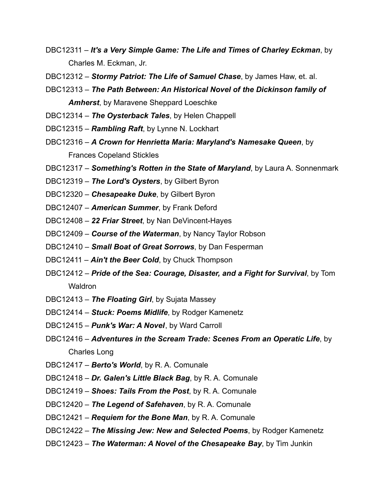- DBC12311 *It's a Very Simple Game: The Life and Times of Charley Eckman*, by Charles M. Eckman, Jr.
- DBC12312 *Stormy Patriot: The Life of Samuel Chase*, by James Haw, et. al.
- DBC12313 *The Path Between: An Historical Novel of the Dickinson family of Amherst*, by Maravene Sheppard Loeschke
- DBC12314 *The Oysterback Tales*, by Helen Chappell
- DBC12315 *Rambling Raft*, by Lynne N. Lockhart
- DBC12316 *A Crown for Henrietta Maria: Maryland's Namesake Queen*, by Frances Copeland Stickles
- DBC12317 *Something's Rotten in the State of Maryland*, by Laura A. Sonnenmark
- DBC12319 *The Lord's Oysters*, by Gilbert Byron
- DBC12320 *Chesapeake Duke*, by Gilbert Byron
- DBC12407 *American Summer*, by Frank Deford
- DBC12408 *22 Friar Street*, by Nan DeVincent-Hayes
- DBC12409 *Course of the Waterman*, by Nancy Taylor Robson
- DBC12410 *Small Boat of Great Sorrows*, by Dan Fesperman
- DBC12411 *Ain't the Beer Cold*, by Chuck Thompson
- DBC12412 *Pride of the Sea: Courage, Disaster, and a Fight for Survival*, by Tom **Waldron**
- DBC12413 *The Floating Girl*, by Sujata Massey
- DBC12414 *Stuck: Poems Midlife*, by Rodger Kamenetz
- DBC12415 *Punk's War: A Novel*, by Ward Carroll
- DBC12416 *Adventures in the Scream Trade: Scenes From an Operatic Life*, by Charles Long
- DBC12417 *Berto's World*, by R. A. Comunale
- DBC12418 *Dr. Galen's Little Black Bag*, by R. A. Comunale
- DBC12419 *Shoes: Tails From the Post*, by R. A. Comunale
- DBC12420 *The Legend of Safehaven*, by R. A. Comunale
- DBC12421 *Requiem for the Bone Man*, by R. A. Comunale
- DBC12422 *The Missing Jew: New and Selected Poems*, by Rodger Kamenetz
- DBC12423 *The Waterman: A Novel of the Chesapeake Bay*, by Tim Junkin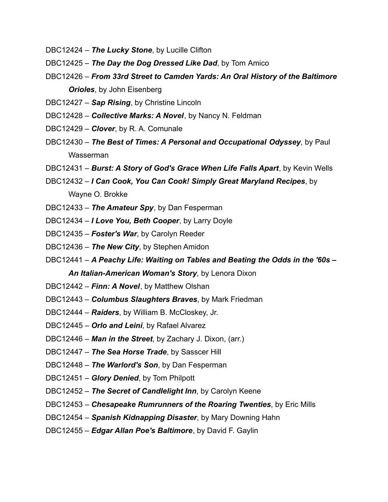- DBC12424 *The Lucky Stone*, by Lucille Clifton
- DBC12425 *The Day the Dog Dressed Like Dad*, by Tom Amico
- DBC12426 *From 33rd Street to Camden Yards: An Oral History of the Baltimore Orioles*, by John Eisenberg
- DBC12427 *Sap Rising*, by Christine Lincoln
- DBC12428 *Collective Marks: A Novel*, by Nancy N. Feldman
- DBC12429 *Clover*, by R. A. Comunale
- DBC12430 *The Best of Times: A Personal and Occupational Odyssey*, by Paul Wasserman
- DBC12431 *Burst: A Story of God's Grace When Life Falls Apart*, by Kevin Wells
- DBC12432 *I Can Cook, You Can Cook! Simply Great Maryland Recipes*, by Wayne O. Brokke
- DBC12433 *The Amateur Spy*, by Dan Fesperman
- DBC12434 *I Love You, Beth Cooper*, by Larry Doyle
- DBC12435 *Foster's War*, by Carolyn Reeder
- DBC12436 *The New City*, by Stephen Amidon
- DBC12441 *A Peachy Life: Waiting on Tables and Beating the Odds in the '60s – An Italian-American Woman's Story*, by Lenora Dixon
- DBC12442 *Finn: A Novel*, by Matthew Olshan
- DBC12443 *Columbus Slaughters Braves*, by Mark Friedman
- DBC12444 *Raiders*, by William B. McCloskey, Jr.
- DBC12445 *Orlo and Leini*, by Rafael Alvarez
- DBC12446 *Man in the Street*, by Zachary J. Dixon, (arr.)
- DBC12447 *The Sea Horse Trade*, by Sasscer Hill
- DBC12448 *The Warlord's Son*, by Dan Fesperman
- DBC12451 *Glory Denied*, by Tom Philpott
- DBC12452 *The Secret of Candlelight Inn*, by Carolyn Keene
- DBC12453 *Chesapeake Rumrunners of the Roaring Twenties*, by Eric Mills
- DBC12454 *Spanish Kidnapping Disaster*, by Mary Downing Hahn
- DBC12455 *Edgar Allan Poe's Baltimore*, by David F. Gaylin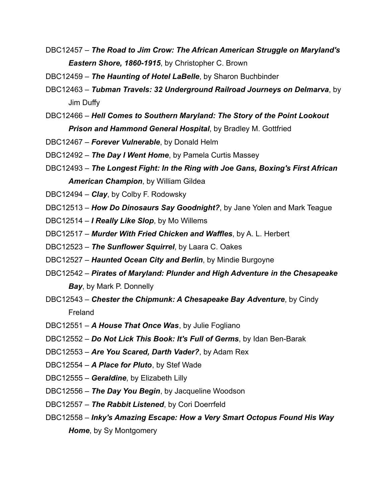- DBC12457 *The Road to Jim Crow: The African American Struggle on Maryland's Eastern Shore, 1860-1915*, by Christopher C. Brown
- DBC12459 *The Haunting of Hotel LaBelle*, by Sharon Buchbinder
- DBC12463 *Tubman Travels: 32 Underground Railroad Journeys on Delmarva*, by Jim Duffy
- DBC12466 *Hell Comes to Southern Maryland: The Story of the Point Lookout Prison and Hammond General Hospital*, by Bradley M. Gottfried
- DBC12467 *Forever Vulnerable*, by Donald Helm
- DBC12492 *The Day I Went Home*, by Pamela Curtis Massey
- DBC12493 *The Longest Fight: In the Ring with Joe Gans, Boxing's First African American Champion*, by William Gildea
- DBC12494 *Clay*, by Colby F. Rodowsky
- DBC12513 *How Do Dinosaurs Say Goodnight?*, by Jane Yolen and Mark Teague
- DBC12514 *I Really Like Slop*, by Mo Willems
- DBC12517 *Murder With Fried Chicken and Waffles*, by A. L. Herbert
- DBC12523 *The Sunflower Squirrel*, by Laara C. Oakes
- DBC12527 *Haunted Ocean City and Berlin*, by Mindie Burgoyne
- DBC12542 *Pirates of Maryland: Plunder and High Adventure in the Chesapeake Bay*, by Mark P. Donnelly
- DBC12543 *Chester the Chipmunk: A Chesapeake Bay Adventure*, by Cindy Freland
- DBC12551 *A House That Once Was*, by Julie Fogliano
- DBC12552 *Do Not Lick This Book: It's Full of Germs*, by Idan Ben-Barak
- DBC12553 *Are You Scared, Darth Vader?*, by Adam Rex
- DBC12554 *A Place for Pluto*, by Stef Wade
- DBC12555 *Geraldine*, by Elizabeth Lilly
- DBC12556 *The Day You Begin*, by Jacqueline Woodson
- DBC12557 *The Rabbit Listened*, by Cori Doerrfeld
- DBC12558 *Inky's Amazing Escape: How a Very Smart Octopus Found His Way Home*, by Sy Montgomery